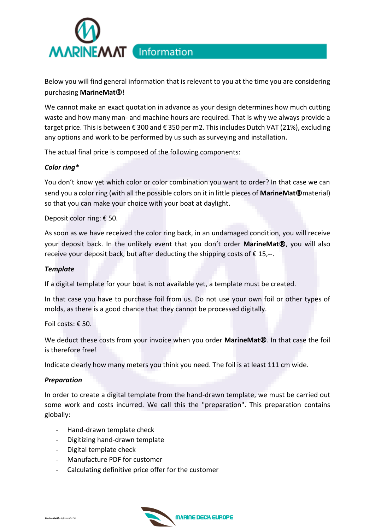

Below you will find general information that is relevant to you at the time you are considering purchasing **MarineMat**®!

We cannot make an exact quotation in advance as your design determines how much cutting waste and how many man- and machine hours are required. That is why we always provide a target price. This is between € 300 and € 350 per m2. This includes Dutch VAT (21%), excluding any options and work to be performed by us such as surveying and installation.

The actual final price is composed of the following components:

## *Color ring\**

You don't know yet which color or color combination you want to order? In that case we can send you a color ring (with all the possible colors on it in little pieces of **MarineMat**®material) so that you can make your choice with your boat at daylight.

Deposit color ring: € 50.

As soon as we have received the color ring back, in an undamaged condition, you will receive your deposit back. In the unlikely event that you don't order **MarineMat**®, you will also receive your deposit back, but after deducting the shipping costs of  $\epsilon$  15,--.

#### *Template*

If a digital template for your boat is not available yet, a template must be created.

In that case you have to purchase foil from us. Do not use your own foil or other types of molds, as there is a good chance that they cannot be processed digitally.

Foil costs: € 50.

We deduct these costs from your invoice when you order **MarineMat**®. In that case the foil is therefore free!

Indicate clearly how many meters you think you need. The foil is at least 111 cm wide.

#### *Preparation*

In order to create a digital template from the hand-drawn template, we must be carried out some work and costs incurred. We call this the "preparation". This preparation contains globally:

- Hand-drawn template check
- Digitizing hand-drawn template
- Digital template check
- Manufacture PDF for customer
- Calculating definitive price offer for the customer

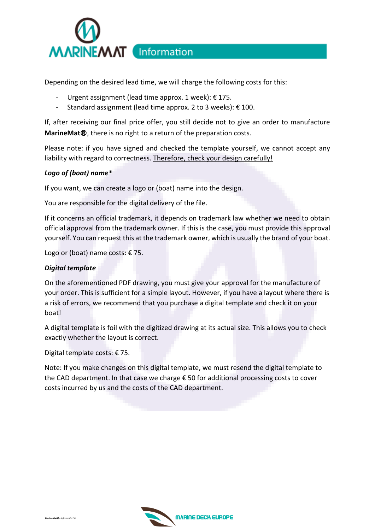

Depending on the desired lead time, we will charge the following costs for this:

- Urgent assignment (lead time approx. 1 week): € 175.
- Standard assignment (lead time approx. 2 to 3 weeks): € 100.

If, after receiving our final price offer, you still decide not to give an order to manufacture **MarineMat**®, there is no right to a return of the preparation costs.

Please note: if you have signed and checked the template yourself, we cannot accept any liability with regard to correctness. Therefore, check your design carefully!

## *Logo of (boat) name\**

If you want, we can create a logo or (boat) name into the design.

You are responsible for the digital delivery of the file.

If it concerns an official trademark, it depends on trademark law whether we need to obtain official approval from the trademark owner. If this is the case, you must provide this approval yourself. You can request this at the trademark owner, which is usually the brand of your boat.

Logo or (boat) name costs:  $\epsilon$  75.

#### *Digital template*

On the aforementioned PDF drawing, you must give your approval for the manufacture of your order. This is sufficient for a simple layout. However, if you have a layout where there is a risk of errors, we recommend that you purchase a digital template and check it on your boat!

A digital template is foil with the digitized drawing at its actual size. This allows you to check exactly whether the layout is correct.

Digital template costs: € 75.

Note: If you make changes on this digital template, we must resend the digital template to the CAD department. In that case we charge € 50 for additional processing costs to cover costs incurred by us and the costs of the CAD department.

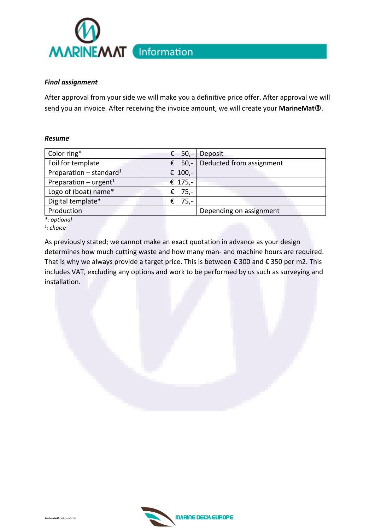

## *Final assignment*

After approval from your side we will make you a definitive price offer. After approval we will send you an invoice. After receiving the invoice amount, we will create your **MarineMat**®.

## *Resume*

| Color ring*                         | € 50,-  | Deposit                  |
|-------------------------------------|---------|--------------------------|
| Foil for template                   | € 50,-  | Deducted from assignment |
| Preparation – standard <sup>1</sup> | € 100,- |                          |
| Preparation – urgent <sup>1</sup>   | € 175,- |                          |
| Logo of (boat) name*                | € 75,-  |                          |
| Digital template*                   | € 75,-  |                          |
| Production                          |         | Depending on assignment  |
| *: optional                         |         |                          |

*1 : choice*

As previously stated; we cannot make an exact quotation in advance as your design determines how much cutting waste and how many man- and machine hours are required. That is why we always provide a target price. This is between € 300 and € 350 per m2. This includes VAT, excluding any options and work to be performed by us such as surveying and installation.